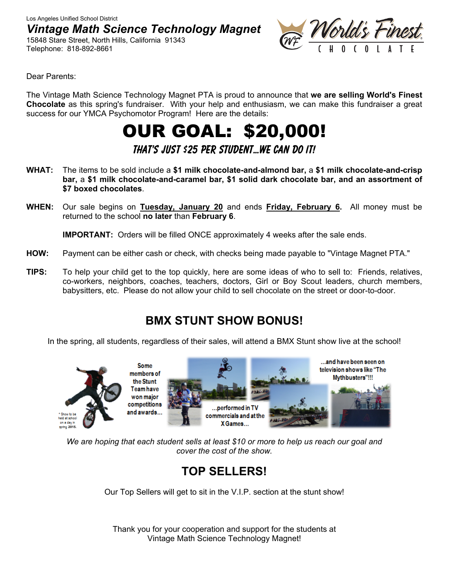Los Angeles Unified School District *Vintage Math Science Technology Magnet* 

15848 Stare Street, North Hills, California 91343 Telephone: 818-892-8661



Dear Parents:

The Vintage Math Science Technology Magnet PTA is proud to announce that **we are selling World's Finest Chocolate** as this spring's fundraiser. With your help and enthusiasm, we can make this fundraiser a great success for our YMCA Psychomotor Program! Here are the details:

# OUR GOAL: \$20,000!

**That's Just \$25 Per Student…We Can Do It!** 

- **WHAT:** The items to be sold include a **\$1 milk chocolate-and-almond bar,** a **\$1 milk chocolate-and-crisp bar,** a **\$1 milk chocolate-and-caramel bar, \$1 solid dark chocolate bar, and an assortment of \$7 boxed chocolates**.
- **WHEN:** Our sale begins on **Tuesday, January 20** and ends **Friday, February 6.** All money must be returned to the school **no later** than **February 6**.

**IMPORTANT:** Orders will be filled ONCE approximately 4 weeks after the sale ends.

- **HOW:** Payment can be either cash or check, with checks being made payable to "Vintage Magnet PTA."
- **TIPS:** To help your child get to the top quickly, here are some ideas of who to sell to: Friends, relatives, co-workers, neighbors, coaches, teachers, doctors, Girl or Boy Scout leaders, church members, babysitters, etc. Please do not allow your child to sell chocolate on the street or door-to-door.

### **BMX STUNT SHOW BONUS!**

In the spring, all students, regardless of their sales, will attend a BMX Stunt show live at the school!



*We are hoping that each student sells at least \$10 or more to help us reach our goal and cover the cost of the show.* 

## **TOP SELLERS!**

Our Top Sellers will get to sit in the V.I.P. section at the stunt show!

Thank you for your cooperation and support for the students at Vintage Math Science Technology Magnet!